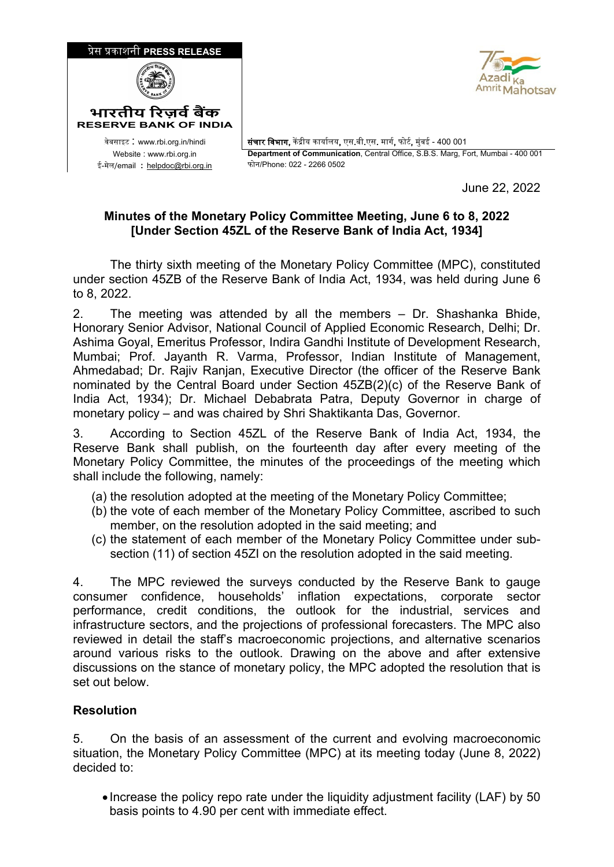



<sup>0</sup>वेबसाइट : www.rbi.org.in/hindi संचार िवभाग, क� �ीय कायार्लय, एस.बी.एस. मागर्, फोटर्, मुंबई - 400 001 Website : www.rbi.org.in **Department of Communication**, Central Office, S.B.S. Marg, Fort, Mumbai - 400 001

June 22, 2022

### **Minutes of the Monetary Policy Committee Meeting, June 6 to 8, 2022 [Under Section 45ZL of the Reserve Bank of India Act, 1934]**

The thirty sixth meeting of the Monetary Policy Committee (MPC), constituted under section 45ZB of the Reserve Bank of India Act, 1934, was held during June 6 to 8, 2022.

2. The meeting was attended by all the members – Dr. Shashanka Bhide, Honorary Senior Advisor, National Council of Applied Economic Research, Delhi; Dr. Ashima Goyal, Emeritus Professor, Indira Gandhi Institute of Development Research, Mumbai; Prof. Jayanth R. Varma, Professor, Indian Institute of Management, Ahmedabad; Dr. Rajiv Ranjan, Executive Director (the officer of the Reserve Bank nominated by the Central Board under Section 45ZB(2)(c) of the Reserve Bank of India Act, 1934); Dr. Michael Debabrata Patra, Deputy Governor in charge of monetary policy – and was chaired by Shri Shaktikanta Das, Governor.

3. According to Section 45ZL of the Reserve Bank of India Act, 1934, the Reserve Bank shall publish, on the fourteenth day after every meeting of the Monetary Policy Committee, the minutes of the proceedings of the meeting which shall include the following, namely:

- (a) the resolution adopted at the meeting of the Monetary Policy Committee;
- (b) the vote of each member of the Monetary Policy Committee, ascribed to such member, on the resolution adopted in the said meeting; and
- (c) the statement of each member of the Monetary Policy Committee under subsection (11) of section 45ZI on the resolution adopted in the said meeting.

4. The MPC reviewed the surveys conducted by the Reserve Bank to gauge consumer confidence, households' inflation expectations, corporate sector performance, credit conditions, the outlook for the industrial, services and infrastructure sectors, and the projections of professional forecasters. The MPC also reviewed in detail the staff's macroeconomic projections, and alternative scenarios around various risks to the outlook. Drawing on the above and after extensive discussions on the stance of monetary policy, the MPC adopted the resolution that is set out below.

# **Resolution**

5. On the basis of an assessment of the current and evolving macroeconomic situation, the Monetary Policy Committee (MPC) at its meeting today (June 8, 2022) decided to:

• Increase the policy repo rate under the liquidity adjustment facility (LAF) by 50 basis points to 4.90 per cent with immediate effect.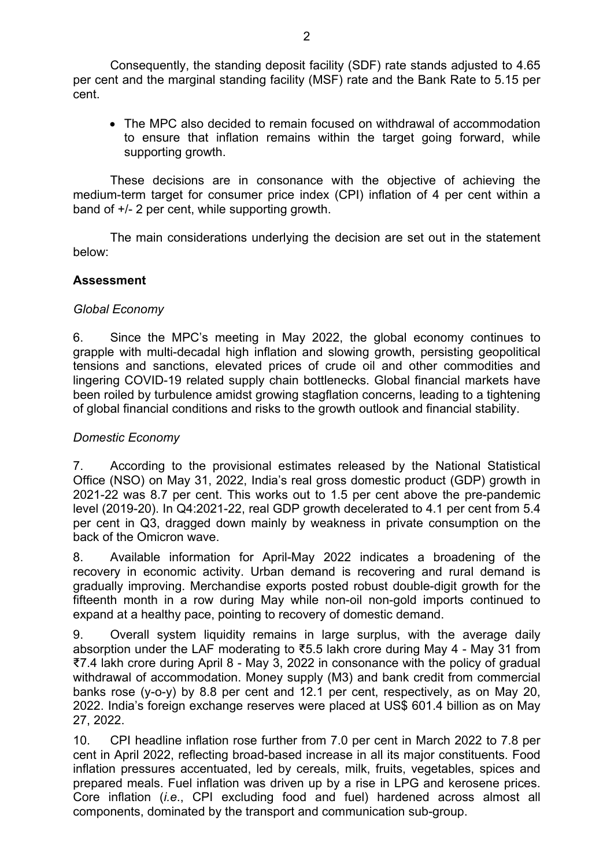Consequently, the standing deposit facility (SDF) rate stands adjusted to 4.65 per cent and the marginal standing facility (MSF) rate and the Bank Rate to 5.15 per cent.

• The MPC also decided to remain focused on withdrawal of accommodation to ensure that inflation remains within the target going forward, while supporting growth.

These decisions are in consonance with the objective of achieving the medium-term target for consumer price index (CPI) inflation of 4 per cent within a band of +/- 2 per cent, while supporting growth.

The main considerations underlying the decision are set out in the statement below:

#### **Assessment**

#### *Global Economy*

6. Since the MPC's meeting in May 2022, the global economy continues to grapple with multi-decadal high inflation and slowing growth, persisting geopolitical tensions and sanctions, elevated prices of crude oil and other commodities and lingering COVID-19 related supply chain bottlenecks. Global financial markets have been roiled by turbulence amidst growing stagflation concerns, leading to a tightening of global financial conditions and risks to the growth outlook and financial stability.

#### *Domestic Economy*

7. According to the provisional estimates released by the National Statistical Office (NSO) on May 31, 2022, India's real gross domestic product (GDP) growth in 2021-22 was 8.7 per cent. This works out to 1.5 per cent above the pre-pandemic level (2019-20). In Q4:2021-22, real GDP growth decelerated to 4.1 per cent from 5.4 per cent in Q3, dragged down mainly by weakness in private consumption on the back of the Omicron wave.

8. Available information for April-May 2022 indicates a broadening of the recovery in economic activity. Urban demand is recovering and rural demand is gradually improving. Merchandise exports posted robust double-digit growth for the fifteenth month in a row during May while non-oil non-gold imports continued to expand at a healthy pace, pointing to recovery of domestic demand.

9. Overall system liquidity remains in large surplus, with the average daily absorption under the LAF moderating to ₹5.5 lakh crore during May 4 - May 31 from ₹7.4 lakh crore during April 8 - May 3, 2022 in consonance with the policy of gradual withdrawal of accommodation. Money supply (M3) and bank credit from commercial banks rose (y-o-y) by 8.8 per cent and 12.1 per cent, respectively, as on May 20, 2022. India's foreign exchange reserves were placed at US\$ 601.4 billion as on May 27, 2022.

10. CPI headline inflation rose further from 7.0 per cent in March 2022 to 7.8 per cent in April 2022, reflecting broad-based increase in all its major constituents. Food inflation pressures accentuated, led by cereals, milk, fruits, vegetables, spices and prepared meals. Fuel inflation was driven up by a rise in LPG and kerosene prices. Core inflation (*i.e*., CPI excluding food and fuel) hardened across almost all components, dominated by the transport and communication sub-group.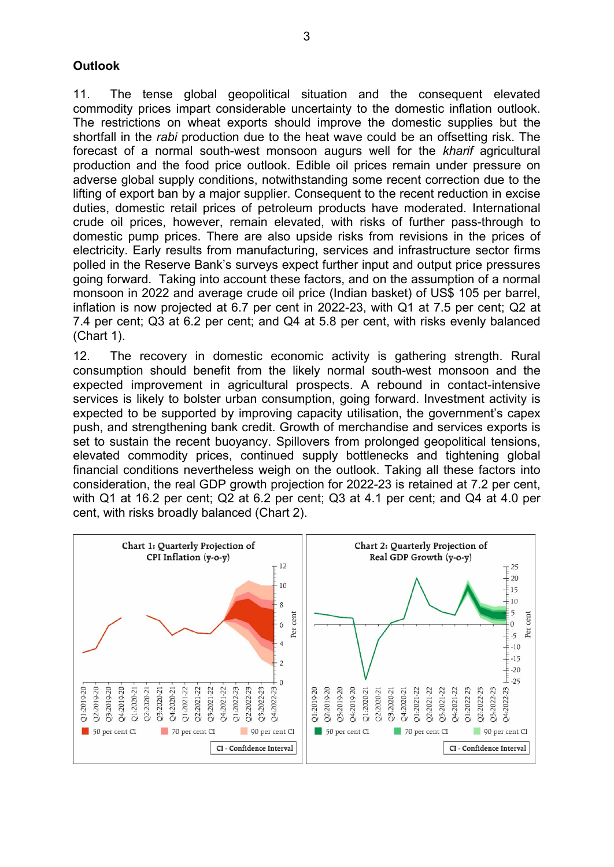### **Outlook**

11. The tense global geopolitical situation and the consequent elevated commodity prices impart considerable uncertainty to the domestic inflation outlook. The restrictions on wheat exports should improve the domestic supplies but the shortfall in the *rabi* production due to the heat wave could be an offsetting risk. The forecast of a normal south-west monsoon augurs well for the *kharif* agricultural production and the food price outlook. Edible oil prices remain under pressure on adverse global supply conditions, notwithstanding some recent correction due to the lifting of export ban by a major supplier. Consequent to the recent reduction in excise duties, domestic retail prices of petroleum products have moderated. International crude oil prices, however, remain elevated, with risks of further pass-through to domestic pump prices. There are also upside risks from revisions in the prices of electricity. Early results from manufacturing, services and infrastructure sector firms polled in the Reserve Bank's surveys expect further input and output price pressures going forward. Taking into account these factors, and on the assumption of a normal monsoon in 2022 and average crude oil price (Indian basket) of US\$ 105 per barrel, inflation is now projected at 6.7 per cent in 2022-23, with Q1 at 7.5 per cent; Q2 at 7.4 per cent; Q3 at 6.2 per cent; and Q4 at 5.8 per cent, with risks evenly balanced (Chart 1).

12. The recovery in domestic economic activity is gathering strength. Rural consumption should benefit from the likely normal south-west monsoon and the expected improvement in agricultural prospects. A rebound in contact-intensive services is likely to bolster urban consumption, going forward. Investment activity is expected to be supported by improving capacity utilisation, the government's capex push, and strengthening bank credit. Growth of merchandise and services exports is set to sustain the recent buoyancy. Spillovers from prolonged geopolitical tensions, elevated commodity prices, continued supply bottlenecks and tightening global financial conditions nevertheless weigh on the outlook. Taking all these factors into consideration, the real GDP growth projection for 2022-23 is retained at 7.2 per cent, with Q1 at 16.2 per cent; Q2 at 6.2 per cent; Q3 at 4.1 per cent; and Q4 at 4.0 per cent, with risks broadly balanced (Chart 2).

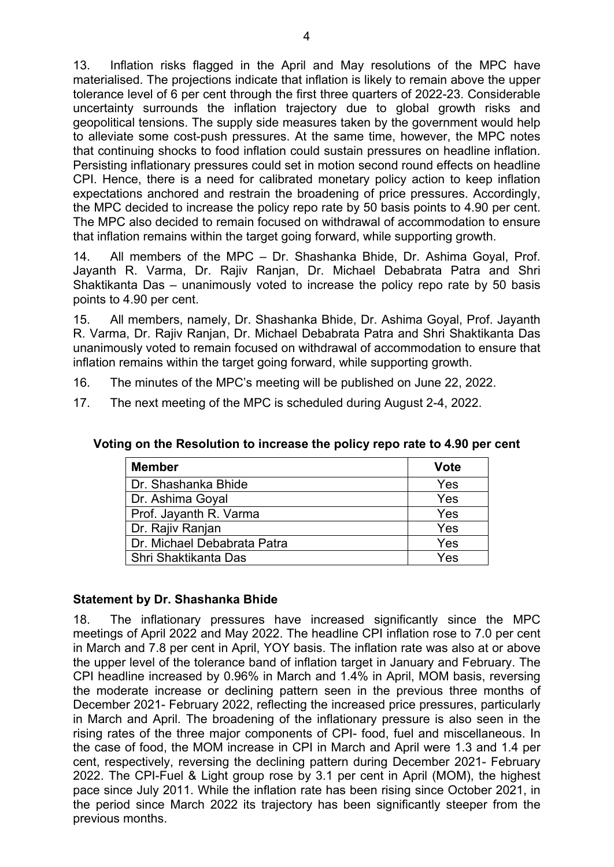13. Inflation risks flagged in the April and May resolutions of the MPC have materialised. The projections indicate that inflation is likely to remain above the upper tolerance level of 6 per cent through the first three quarters of 2022-23. Considerable uncertainty surrounds the inflation trajectory due to global growth risks and geopolitical tensions. The supply side measures taken by the government would help to alleviate some cost-push pressures. At the same time, however, the MPC notes that continuing shocks to food inflation could sustain pressures on headline inflation. Persisting inflationary pressures could set in motion second round effects on headline CPI. Hence, there is a need for calibrated monetary policy action to keep inflation expectations anchored and restrain the broadening of price pressures. Accordingly, the MPC decided to increase the policy repo rate by 50 basis points to 4.90 per cent. The MPC also decided to remain focused on withdrawal of accommodation to ensure that inflation remains within the target going forward, while supporting growth.

14. All members of the MPC – Dr. Shashanka Bhide, Dr. Ashima Goyal, Prof. Jayanth R. Varma, Dr. Rajiv Ranjan, Dr. Michael Debabrata Patra and Shri Shaktikanta Das – unanimously voted to increase the policy repo rate by 50 basis points to 4.90 per cent.

15. All members, namely, Dr. Shashanka Bhide, Dr. Ashima Goyal, Prof. Jayanth R. Varma, Dr. Rajiv Ranjan, Dr. Michael Debabrata Patra and Shri Shaktikanta Das unanimously voted to remain focused on withdrawal of accommodation to ensure that inflation remains within the target going forward, while supporting growth.

16. The minutes of the MPC's meeting will be published on June 22, 2022.

17. The next meeting of the MPC is scheduled during August 2-4, 2022.

| <b>Member</b>               | <b>Vote</b> |
|-----------------------------|-------------|
| Dr. Shashanka Bhide         | Yes         |
| Dr. Ashima Goyal            | Yes         |
| Prof. Jayanth R. Varma      | Yes         |
| Dr. Rajiv Ranjan            | Yes         |
| Dr. Michael Debabrata Patra | Yes         |
| Shri Shaktikanta Das        | Yes         |

#### **Voting on the Resolution to increase the policy repo rate to 4.90 per cent**

# **Statement by Dr. Shashanka Bhide**

18. The inflationary pressures have increased significantly since the MPC meetings of April 2022 and May 2022. The headline CPI inflation rose to 7.0 per cent in March and 7.8 per cent in April, YOY basis. The inflation rate was also at or above the upper level of the tolerance band of inflation target in January and February. The CPI headline increased by 0.96% in March and 1.4% in April, MOM basis, reversing the moderate increase or declining pattern seen in the previous three months of December 2021- February 2022, reflecting the increased price pressures, particularly in March and April. The broadening of the inflationary pressure is also seen in the rising rates of the three major components of CPI- food, fuel and miscellaneous. In the case of food, the MOM increase in CPI in March and April were 1.3 and 1.4 per cent, respectively, reversing the declining pattern during December 2021- February 2022. The CPI-Fuel & Light group rose by 3.1 per cent in April (MOM), the highest pace since July 2011. While the inflation rate has been rising since October 2021, in the period since March 2022 its trajectory has been significantly steeper from the previous months.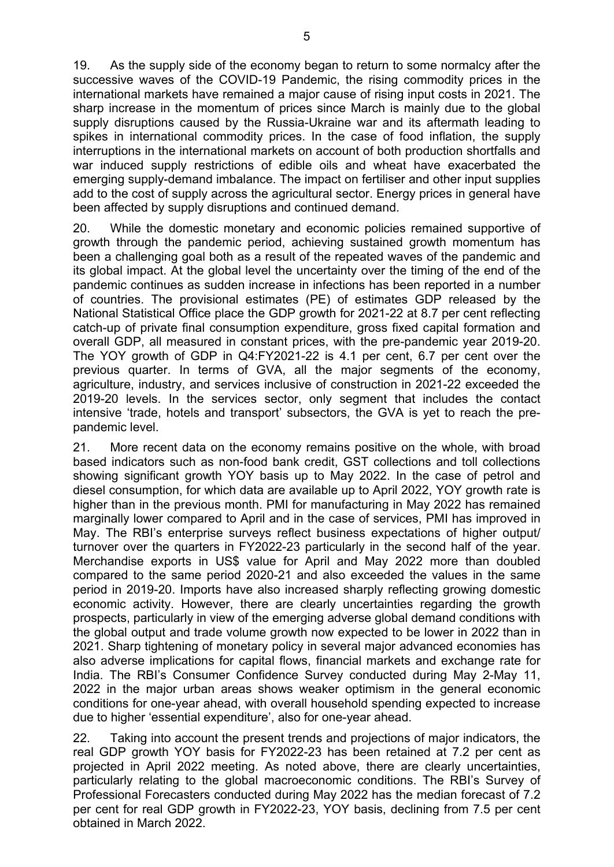19. As the supply side of the economy began to return to some normalcy after the successive waves of the COVID-19 Pandemic, the rising commodity prices in the international markets have remained a major cause of rising input costs in 2021. The sharp increase in the momentum of prices since March is mainly due to the global supply disruptions caused by the Russia-Ukraine war and its aftermath leading to spikes in international commodity prices. In the case of food inflation, the supply interruptions in the international markets on account of both production shortfalls and war induced supply restrictions of edible oils and wheat have exacerbated the emerging supply-demand imbalance. The impact on fertiliser and other input supplies add to the cost of supply across the agricultural sector. Energy prices in general have been affected by supply disruptions and continued demand.

20. While the domestic monetary and economic policies remained supportive of growth through the pandemic period, achieving sustained growth momentum has been a challenging goal both as a result of the repeated waves of the pandemic and its global impact. At the global level the uncertainty over the timing of the end of the pandemic continues as sudden increase in infections has been reported in a number of countries. The provisional estimates (PE) of estimates GDP released by the National Statistical Office place the GDP growth for 2021-22 at 8.7 per cent reflecting catch-up of private final consumption expenditure, gross fixed capital formation and overall GDP, all measured in constant prices, with the pre-pandemic year 2019-20. The YOY growth of GDP in Q4:FY2021-22 is 4.1 per cent, 6.7 per cent over the previous quarter. In terms of GVA, all the major segments of the economy, agriculture, industry, and services inclusive of construction in 2021-22 exceeded the 2019-20 levels. In the services sector, only segment that includes the contact intensive 'trade, hotels and transport' subsectors, the GVA is yet to reach the prepandemic level.

21. More recent data on the economy remains positive on the whole, with broad based indicators such as non-food bank credit, GST collections and toll collections showing significant growth YOY basis up to May 2022. In the case of petrol and diesel consumption, for which data are available up to April 2022, YOY growth rate is higher than in the previous month. PMI for manufacturing in May 2022 has remained marginally lower compared to April and in the case of services, PMI has improved in May. The RBI's enterprise surveys reflect business expectations of higher output/ turnover over the quarters in FY2022-23 particularly in the second half of the year. Merchandise exports in US\$ value for April and May 2022 more than doubled compared to the same period 2020-21 and also exceeded the values in the same period in 2019-20. Imports have also increased sharply reflecting growing domestic economic activity. However, there are clearly uncertainties regarding the growth prospects, particularly in view of the emerging adverse global demand conditions with the global output and trade volume growth now expected to be lower in 2022 than in 2021. Sharp tightening of monetary policy in several major advanced economies has also adverse implications for capital flows, financial markets and exchange rate for India. The RBI's Consumer Confidence Survey conducted during May 2-May 11, 2022 in the major urban areas shows weaker optimism in the general economic conditions for one-year ahead, with overall household spending expected to increase due to higher 'essential expenditure', also for one-year ahead.

22. Taking into account the present trends and projections of major indicators, the real GDP growth YOY basis for FY2022-23 has been retained at 7.2 per cent as projected in April 2022 meeting. As noted above, there are clearly uncertainties, particularly relating to the global macroeconomic conditions. The RBI's Survey of Professional Forecasters conducted during May 2022 has the median forecast of 7.2 per cent for real GDP growth in FY2022-23, YOY basis, declining from 7.5 per cent obtained in March 2022.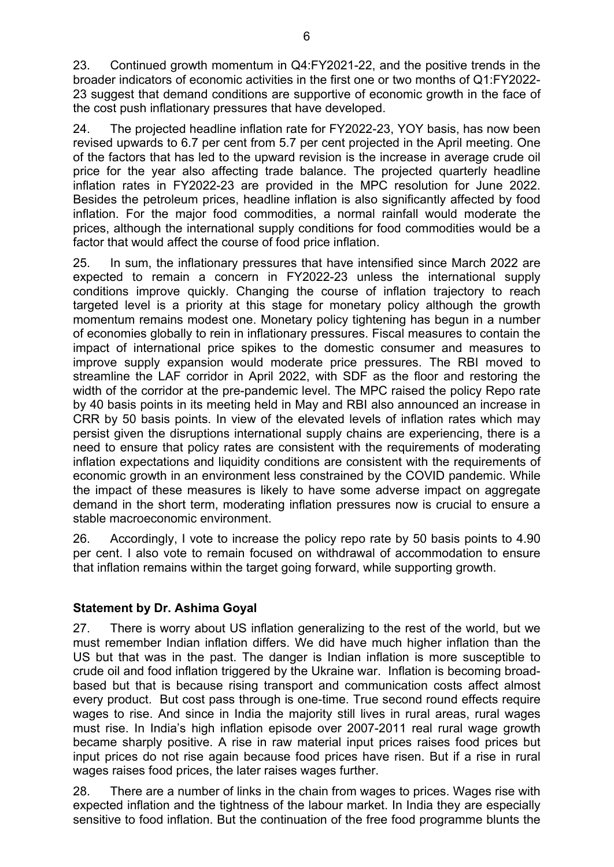23. Continued growth momentum in Q4:FY2021-22, and the positive trends in the broader indicators of economic activities in the first one or two months of Q1:FY2022- 23 suggest that demand conditions are supportive of economic growth in the face of the cost push inflationary pressures that have developed.

24. The projected headline inflation rate for FY2022-23, YOY basis, has now been revised upwards to 6.7 per cent from 5.7 per cent projected in the April meeting. One of the factors that has led to the upward revision is the increase in average crude oil price for the year also affecting trade balance. The projected quarterly headline inflation rates in FY2022-23 are provided in the MPC resolution for June 2022. Besides the petroleum prices, headline inflation is also significantly affected by food inflation. For the major food commodities, a normal rainfall would moderate the prices, although the international supply conditions for food commodities would be a factor that would affect the course of food price inflation.

25. In sum, the inflationary pressures that have intensified since March 2022 are expected to remain a concern in FY2022-23 unless the international supply conditions improve quickly. Changing the course of inflation trajectory to reach targeted level is a priority at this stage for monetary policy although the growth momentum remains modest one. Monetary policy tightening has begun in a number of economies globally to rein in inflationary pressures. Fiscal measures to contain the impact of international price spikes to the domestic consumer and measures to improve supply expansion would moderate price pressures. The RBI moved to streamline the LAF corridor in April 2022, with SDF as the floor and restoring the width of the corridor at the pre-pandemic level. The MPC raised the policy Repo rate by 40 basis points in its meeting held in May and RBI also announced an increase in CRR by 50 basis points. In view of the elevated levels of inflation rates which may persist given the disruptions international supply chains are experiencing, there is a need to ensure that policy rates are consistent with the requirements of moderating inflation expectations and liquidity conditions are consistent with the requirements of economic growth in an environment less constrained by the COVID pandemic. While the impact of these measures is likely to have some adverse impact on aggregate demand in the short term, moderating inflation pressures now is crucial to ensure a stable macroeconomic environment.

26. Accordingly, I vote to increase the policy repo rate by 50 basis points to 4.90 per cent. I also vote to remain focused on withdrawal of accommodation to ensure that inflation remains within the target going forward, while supporting growth.

# **Statement by Dr. Ashima Goyal**

27. There is worry about US inflation generalizing to the rest of the world, but we must remember Indian inflation differs. We did have much higher inflation than the US but that was in the past. The danger is Indian inflation is more susceptible to crude oil and food inflation triggered by the Ukraine war. Inflation is becoming broadbased but that is because rising transport and communication costs affect almost every product. But cost pass through is one-time. True second round effects require wages to rise. And since in India the majority still lives in rural areas, rural wages must rise. In India's high inflation episode over 2007-2011 real rural wage growth became sharply positive. A rise in raw material input prices raises food prices but input prices do not rise again because food prices have risen. But if a rise in rural wages raises food prices, the later raises wages further.

28. There are a number of links in the chain from wages to prices. Wages rise with expected inflation and the tightness of the labour market. In India they are especially sensitive to food inflation. But the continuation of the free food programme blunts the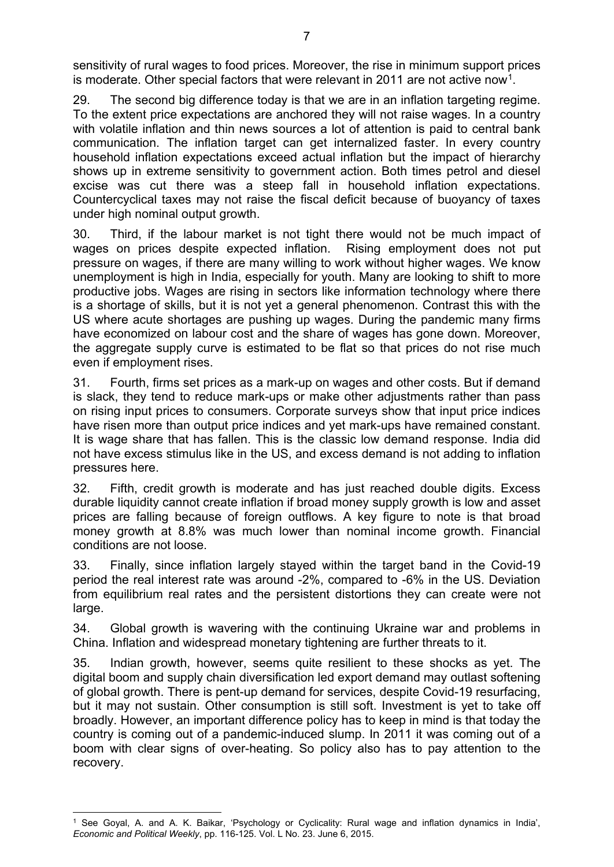sensitivity of rural wages to food prices. Moreover, the rise in minimum support prices is moderate. Other special factors that were relevant in 20[1](#page-6-0)1 are not active now<sup>1</sup>.

29. The second big difference today is that we are in an inflation targeting regime. To the extent price expectations are anchored they will not raise wages. In a country with volatile inflation and thin news sources a lot of attention is paid to central bank communication. The inflation target can get internalized faster. In every country household inflation expectations exceed actual inflation but the impact of hierarchy shows up in extreme sensitivity to government action. Both times petrol and diesel excise was cut there was a steep fall in household inflation expectations. Countercyclical taxes may not raise the fiscal deficit because of buoyancy of taxes under high nominal output growth.

30. Third, if the labour market is not tight there would not be much impact of wages on prices despite expected inflation. Rising employment does not put pressure on wages, if there are many willing to work without higher wages. We know unemployment is high in India, especially for youth. Many are looking to shift to more productive jobs. Wages are rising in sectors like information technology where there is a shortage of skills, but it is not yet a general phenomenon. Contrast this with the US where acute shortages are pushing up wages. During the pandemic many firms have economized on labour cost and the share of wages has gone down. Moreover, the aggregate supply curve is estimated to be flat so that prices do not rise much even if employment rises.

31. Fourth, firms set prices as a mark-up on wages and other costs. But if demand is slack, they tend to reduce mark-ups or make other adjustments rather than pass on rising input prices to consumers. Corporate surveys show that input price indices have risen more than output price indices and yet mark-ups have remained constant. It is wage share that has fallen. This is the classic low demand response. India did not have excess stimulus like in the US, and excess demand is not adding to inflation pressures here.

32. Fifth, credit growth is moderate and has just reached double digits. Excess durable liquidity cannot create inflation if broad money supply growth is low and asset prices are falling because of foreign outflows. A key figure to note is that broad money growth at 8.8% was much lower than nominal income growth. Financial conditions are not loose.

33. Finally, since inflation largely stayed within the target band in the Covid-19 period the real interest rate was around -2%, compared to -6% in the US. Deviation from equilibrium real rates and the persistent distortions they can create were not large.

34. Global growth is wavering with the continuing Ukraine war and problems in China. Inflation and widespread monetary tightening are further threats to it.

35. Indian growth, however, seems quite resilient to these shocks as yet. The digital boom and supply chain diversification led export demand may outlast softening of global growth. There is pent-up demand for services, despite Covid-19 resurfacing, but it may not sustain. Other consumption is still soft. Investment is yet to take off broadly. However, an important difference policy has to keep in mind is that today the country is coming out of a pandemic-induced slump. In 2011 it was coming out of a boom with clear signs of over-heating. So policy also has to pay attention to the recovery.

<span id="page-6-0"></span> <sup>1</sup> See Goyal, A. and A. K. Baikar, 'Psychology or Cyclicality: Rural wage and inflation dynamics in India', *Economic and Political Weekly*, pp. 116-125. Vol. L No. 23. June 6, 2015.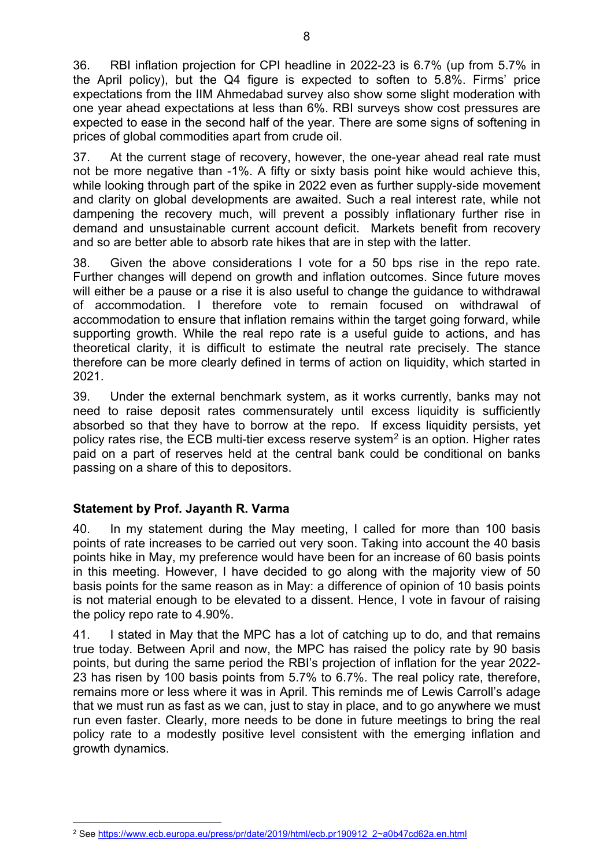36. RBI inflation projection for CPI headline in 2022-23 is 6.7% (up from 5.7% in the April policy), but the Q4 figure is expected to soften to 5.8%. Firms' price expectations from the IIM Ahmedabad survey also show some slight moderation with one year ahead expectations at less than 6%. RBI surveys show cost pressures are expected to ease in the second half of the year. There are some signs of softening in prices of global commodities apart from crude oil.

37. At the current stage of recovery, however, the one-year ahead real rate must not be more negative than -1%. A fifty or sixty basis point hike would achieve this, while looking through part of the spike in 2022 even as further supply-side movement and clarity on global developments are awaited. Such a real interest rate, while not dampening the recovery much, will prevent a possibly inflationary further rise in demand and unsustainable current account deficit. Markets benefit from recovery and so are better able to absorb rate hikes that are in step with the latter.

38. Given the above considerations I vote for a 50 bps rise in the repo rate. Further changes will depend on growth and inflation outcomes. Since future moves will either be a pause or a rise it is also useful to change the guidance to withdrawal of accommodation. I therefore vote to remain focused on withdrawal of accommodation to ensure that inflation remains within the target going forward, while supporting growth. While the real repo rate is a useful guide to actions, and has theoretical clarity, it is difficult to estimate the neutral rate precisely. The stance therefore can be more clearly defined in terms of action on liquidity, which started in 2021.

39. Under the external benchmark system, as it works currently, banks may not need to raise deposit rates commensurately until excess liquidity is sufficiently absorbed so that they have to borrow at the repo. If excess liquidity persists, yet policy rates rise, the ECB multi-tier excess reserve system<sup>[2](#page-7-0)</sup> is an option. Higher rates paid on a part of reserves held at the central bank could be conditional on banks passing on a share of this to depositors.

# **Statement by Prof. Jayanth R. Varma**

40. In my statement during the May meeting, I called for more than 100 basis points of rate increases to be carried out very soon. Taking into account the 40 basis points hike in May, my preference would have been for an increase of 60 basis points in this meeting. However, I have decided to go along with the majority view of 50 basis points for the same reason as in May: a difference of opinion of 10 basis points is not material enough to be elevated to a dissent. Hence, I vote in favour of raising the policy repo rate to 4.90%.

41. I stated in May that the MPC has a lot of catching up to do, and that remains true today. Between April and now, the MPC has raised the policy rate by 90 basis points, but during the same period the RBI's projection of inflation for the year 2022- 23 has risen by 100 basis points from 5.7% to 6.7%. The real policy rate, therefore, remains more or less where it was in April. This reminds me of Lewis Carroll's adage that we must run as fast as we can, just to stay in place, and to go anywhere we must run even faster. Clearly, more needs to be done in future meetings to bring the real policy rate to a modestly positive level consistent with the emerging inflation and growth dynamics.

<span id="page-7-0"></span> <sup>2</sup> See [https://www.ecb.europa.eu/press/pr/date/2019/html/ecb.pr190912\\_2~a0b47cd62a.en.html](https://www.ecb.europa.eu/press/pr/date/2019/html/ecb.pr190912_2%7Ea0b47cd62a.en.html)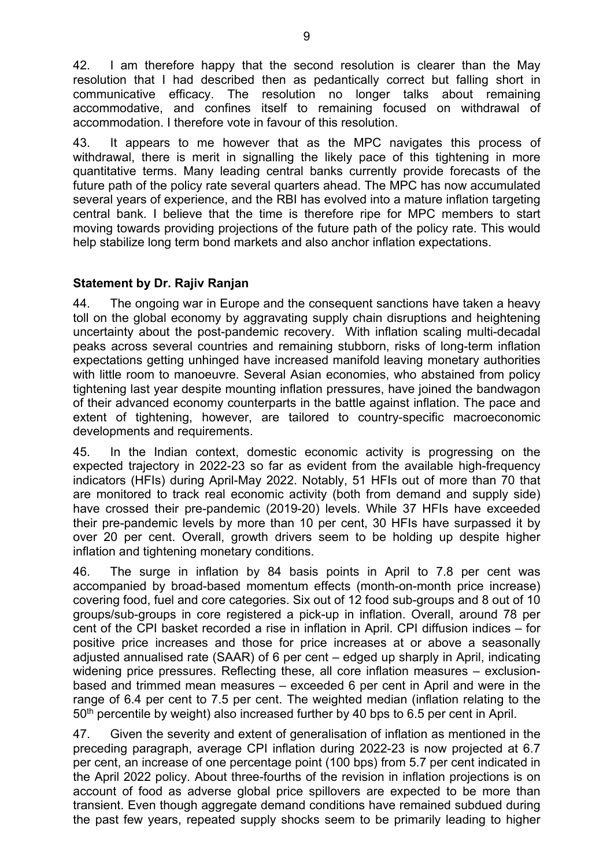42. I am therefore happy that the second resolution is clearer than the May resolution that I had described then as pedantically correct but falling short in communicative efficacy. The resolution no longer talks about remaining accommodative, and confines itself to remaining focused on withdrawal of accommodation. I therefore vote in favour of this resolution.

43. It appears to me however that as the MPC navigates this process of withdrawal, there is merit in signalling the likely pace of this tightening in more quantitative terms. Many leading central banks currently provide forecasts of the future path of the policy rate several quarters ahead. The MPC has now accumulated several years of experience, and the RBI has evolved into a mature inflation targeting central bank. I believe that the time is therefore ripe for MPC members to start moving towards providing projections of the future path of the policy rate. This would help stabilize long term bond markets and also anchor inflation expectations.

### **Statement by Dr. Rajiv Ranjan**

44. The ongoing war in Europe and the consequent sanctions have taken a heavy toll on the global economy by aggravating supply chain disruptions and heightening uncertainty about the post-pandemic recovery. With inflation scaling multi-decadal peaks across several countries and remaining stubborn, risks of long-term inflation expectations getting unhinged have increased manifold leaving monetary authorities with little room to manoeuvre. Several Asian economies, who abstained from policy tightening last year despite mounting inflation pressures, have joined the bandwagon of their advanced economy counterparts in the battle against inflation. The pace and extent of tightening, however, are tailored to country-specific macroeconomic developments and requirements.

45. In the Indian context, domestic economic activity is progressing on the expected trajectory in 2022-23 so far as evident from the available high-frequency indicators (HFIs) during April-May 2022. Notably, 51 HFIs out of more than 70 that are monitored to track real economic activity (both from demand and supply side) have crossed their pre-pandemic (2019-20) levels. While 37 HFIs have exceeded their pre-pandemic levels by more than 10 per cent, 30 HFIs have surpassed it by over 20 per cent. Overall, growth drivers seem to be holding up despite higher inflation and tightening monetary conditions.

46. The surge in inflation by 84 basis points in April to 7.8 per cent was accompanied by broad-based momentum effects (month-on-month price increase) covering food, fuel and core categories. Six out of 12 food sub-groups and 8 out of 10 groups/sub-groups in core registered a pick-up in inflation. Overall, around 78 per cent of the CPI basket recorded a rise in inflation in April. CPI diffusion indices – for positive price increases and those for price increases at or above a seasonally adjusted annualised rate (SAAR) of 6 per cent – edged up sharply in April, indicating widening price pressures. Reflecting these, all core inflation measures – exclusionbased and trimmed mean measures – exceeded 6 per cent in April and were in the range of 6.4 per cent to 7.5 per cent. The weighted median (inflation relating to the  $50<sup>th</sup>$  percentile by weight) also increased further by 40 bps to 6.5 per cent in April.

47. Given the severity and extent of generalisation of inflation as mentioned in the preceding paragraph, average CPI inflation during 2022-23 is now projected at 6.7 per cent, an increase of one percentage point (100 bps) from 5.7 per cent indicated in the April 2022 policy. About three-fourths of the revision in inflation projections is on account of food as adverse global price spillovers are expected to be more than transient. Even though aggregate demand conditions have remained subdued during the past few years, repeated supply shocks seem to be primarily leading to higher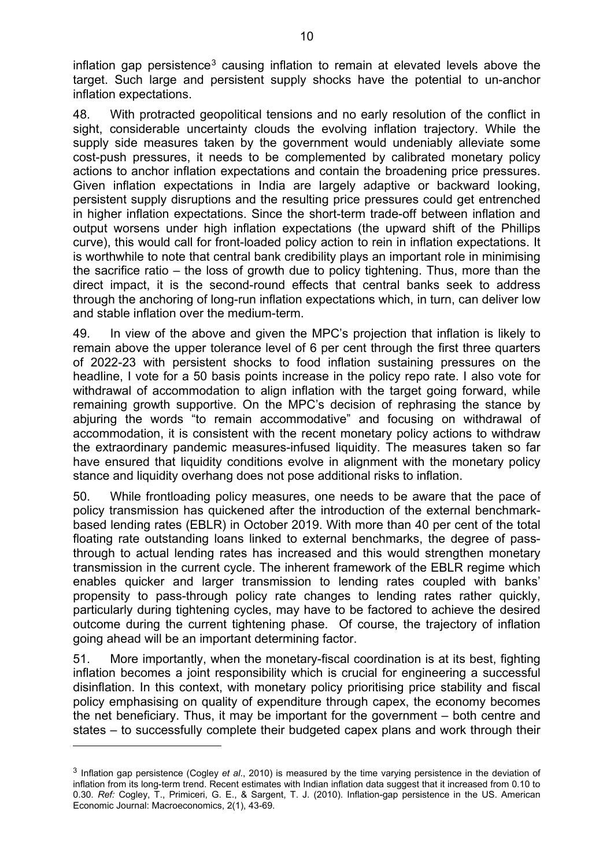inflation gap persistence<sup>[3](#page-9-0)</sup> causing inflation to remain at elevated levels above the target. Such large and persistent supply shocks have the potential to un-anchor inflation expectations.

48. With protracted geopolitical tensions and no early resolution of the conflict in sight, considerable uncertainty clouds the evolving inflation trajectory. While the supply side measures taken by the government would undeniably alleviate some cost-push pressures, it needs to be complemented by calibrated monetary policy actions to anchor inflation expectations and contain the broadening price pressures. Given inflation expectations in India are largely adaptive or backward looking, persistent supply disruptions and the resulting price pressures could get entrenched in higher inflation expectations. Since the short-term trade-off between inflation and output worsens under high inflation expectations (the upward shift of the Phillips curve), this would call for front-loaded policy action to rein in inflation expectations. It is worthwhile to note that central bank credibility plays an important role in minimising the sacrifice ratio – the loss of growth due to policy tightening. Thus, more than the direct impact, it is the second-round effects that central banks seek to address through the anchoring of long-run inflation expectations which, in turn, can deliver low and stable inflation over the medium-term.

49. In view of the above and given the MPC's projection that inflation is likely to remain above the upper tolerance level of 6 per cent through the first three quarters of 2022-23 with persistent shocks to food inflation sustaining pressures on the headline, I vote for a 50 basis points increase in the policy repo rate. I also vote for withdrawal of accommodation to align inflation with the target going forward, while remaining growth supportive. On the MPC's decision of rephrasing the stance by abjuring the words "to remain accommodative" and focusing on withdrawal of accommodation, it is consistent with the recent monetary policy actions to withdraw the extraordinary pandemic measures-infused liquidity. The measures taken so far have ensured that liquidity conditions evolve in alignment with the monetary policy stance and liquidity overhang does not pose additional risks to inflation.

50. While frontloading policy measures, one needs to be aware that the pace of policy transmission has quickened after the introduction of the external benchmarkbased lending rates (EBLR) in October 2019. With more than 40 per cent of the total floating rate outstanding loans linked to external benchmarks, the degree of passthrough to actual lending rates has increased and this would strengthen monetary transmission in the current cycle. The inherent framework of the EBLR regime which enables quicker and larger transmission to lending rates coupled with banks' propensity to pass-through policy rate changes to lending rates rather quickly, particularly during tightening cycles, may have to be factored to achieve the desired outcome during the current tightening phase. Of course, the trajectory of inflation going ahead will be an important determining factor.

51. More importantly, when the monetary-fiscal coordination is at its best, fighting inflation becomes a joint responsibility which is crucial for engineering a successful disinflation. In this context, with monetary policy prioritising price stability and fiscal policy emphasising on quality of expenditure through capex, the economy becomes the net beneficiary. Thus, it may be important for the government – both centre and states – to successfully complete their budgeted capex plans and work through their

-

<span id="page-9-0"></span><sup>3</sup> Inflation gap persistence (Cogley *et al*., 2010) is measured by the time varying persistence in the deviation of inflation from its long-term trend. Recent estimates with Indian inflation data suggest that it increased from 0.10 to 0.30. *Ref:* Cogley, T., Primiceri, G. E., & Sargent, T. J. (2010). Inflation-gap persistence in the US. American Economic Journal: Macroeconomics, 2(1), 43-69.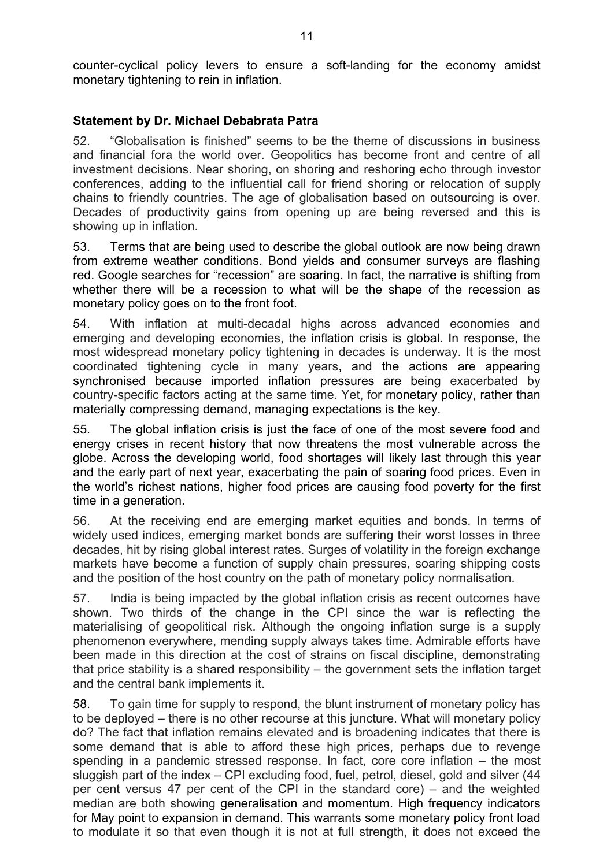counter-cyclical policy levers to ensure a soft-landing for the economy amidst monetary tightening to rein in inflation.

# **Statement by Dr. Michael Debabrata Patra**

52. "Globalisation is finished" seems to be the theme of discussions in business and financial fora the world over. Geopolitics has become front and centre of all investment decisions. Near shoring, on shoring and reshoring echo through investor conferences, adding to the influential call for friend shoring or relocation of supply chains to friendly countries. The age of globalisation based on outsourcing is over. Decades of productivity gains from opening up are being reversed and this is showing up in inflation.

53. Terms that are being used to describe the global outlook are now being drawn from extreme weather conditions. Bond yields and consumer surveys are flashing red. Google searches for "recession" are soaring. In fact, the narrative is shifting from whether there will be a recession to what will be the shape of the recession as monetary policy goes on to the front foot.

54. With inflation at multi-decadal highs across advanced economies and emerging and developing economies, the inflation crisis is global. In response, the most widespread monetary policy tightening in decades is underway. It is the most coordinated tightening cycle in many years, and the actions are appearing synchronised because imported inflation pressures are being exacerbated by country-specific factors acting at the same time. Yet, for monetary policy, rather than materially compressing demand, managing expectations is the key.

55. The global inflation crisis is just the face of one of the most severe food and energy crises in recent history that now threatens the most vulnerable across the globe. Across the developing world, food shortages will likely last through this year and the early part of next year, exacerbating the pain of soaring food prices. Even in the world's richest nations, higher food prices are causing food poverty for the first time in a generation.

56. At the receiving end are emerging market equities and bonds. In terms of widely used indices, emerging market bonds are suffering their worst losses in three decades, hit by rising global interest rates. Surges of volatility in the foreign exchange markets have become a function of supply chain pressures, soaring shipping costs and the position of the host country on the path of monetary policy normalisation.

57. India is being impacted by the global inflation crisis as recent outcomes have shown. Two thirds of the change in the CPI since the war is reflecting the materialising of geopolitical risk. Although the ongoing inflation surge is a supply phenomenon everywhere, mending supply always takes time. Admirable efforts have been made in this direction at the cost of strains on fiscal discipline, demonstrating that price stability is a shared responsibility – the government sets the inflation target and the central bank implements it.

58. To gain time for supply to respond, the blunt instrument of monetary policy has to be deployed – there is no other recourse at this juncture. What will monetary policy do? The fact that inflation remains elevated and is broadening indicates that there is some demand that is able to afford these high prices, perhaps due to revenge spending in a pandemic stressed response. In fact, core core inflation – the most sluggish part of the index – CPI excluding food, fuel, petrol, diesel, gold and silver (44 per cent versus 47 per cent of the CPI in the standard core) – and the weighted median are both showing generalisation and momentum. High frequency indicators for May point to expansion in demand. This warrants some monetary policy front load to modulate it so that even though it is not at full strength, it does not exceed the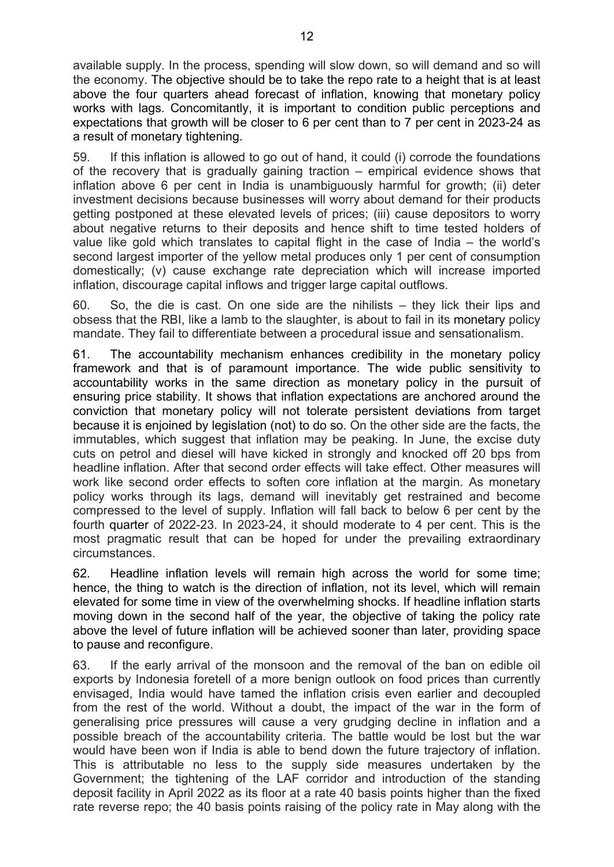available supply. In the process, spending will slow down, so will demand and so will the economy. The objective should be to take the repo rate to a height that is at least above the four quarters ahead forecast of inflation, knowing that monetary policy works with lags. Concomitantly, it is important to condition public perceptions and expectations that growth will be closer to 6 per cent than to 7 per cent in 2023-24 as a result of monetary tightening.

59. If this inflation is allowed to go out of hand, it could (i) corrode the foundations of the recovery that is gradually gaining traction – empirical evidence shows that inflation above 6 per cent in India is unambiguously harmful for growth; (ii) deter investment decisions because businesses will worry about demand for their products getting postponed at these elevated levels of prices; (iii) cause depositors to worry about negative returns to their deposits and hence shift to time tested holders of value like gold which translates to capital flight in the case of India – the world's second largest importer of the yellow metal produces only 1 per cent of consumption domestically; (v) cause exchange rate depreciation which will increase imported inflation, discourage capital inflows and trigger large capital outflows.

60. So, the die is cast. On one side are the nihilists – they lick their lips and obsess that the RBI, like a lamb to the slaughter, is about to fail in its monetary policy mandate. They fail to differentiate between a procedural issue and sensationalism.

61. The accountability mechanism enhances credibility in the monetary policy framework and that is of paramount importance. The wide public sensitivity to accountability works in the same direction as monetary policy in the pursuit of ensuring price stability. It shows that inflation expectations are anchored around the conviction that monetary policy will not tolerate persistent deviations from target because it is enjoined by legislation (not) to do so. On the other side are the facts, the immutables, which suggest that inflation may be peaking. In June, the excise duty cuts on petrol and diesel will have kicked in strongly and knocked off 20 bps from headline inflation. After that second order effects will take effect. Other measures will work like second order effects to soften core inflation at the margin. As monetary policy works through its lags, demand will inevitably get restrained and become compressed to the level of supply. Inflation will fall back to below 6 per cent by the fourth quarter of 2022-23. In 2023-24, it should moderate to 4 per cent. This is the most pragmatic result that can be hoped for under the prevailing extraordinary circumstances.

62. Headline inflation levels will remain high across the world for some time; hence, the thing to watch is the direction of inflation, not its level, which will remain elevated for some time in view of the overwhelming shocks. If headline inflation starts moving down in the second half of the year, the objective of taking the policy rate above the level of future inflation will be achieved sooner than later, providing space to pause and reconfigure.

63. If the early arrival of the monsoon and the removal of the ban on edible oil exports by Indonesia foretell of a more benign outlook on food prices than currently envisaged, India would have tamed the inflation crisis even earlier and decoupled from the rest of the world. Without a doubt, the impact of the war in the form of generalising price pressures will cause a very grudging decline in inflation and a possible breach of the accountability criteria. The battle would be lost but the war would have been won if India is able to bend down the future trajectory of inflation. This is attributable no less to the supply side measures undertaken by the Government; the tightening of the LAF corridor and introduction of the standing deposit facility in April 2022 as its floor at a rate 40 basis points higher than the fixed rate reverse repo; the 40 basis points raising of the policy rate in May along with the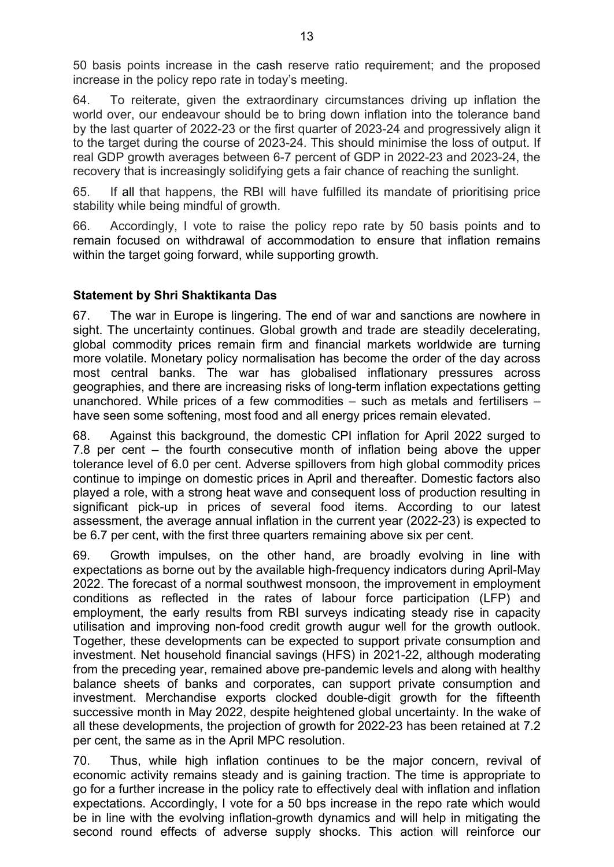50 basis points increase in the cash reserve ratio requirement; and the proposed increase in the policy repo rate in today's meeting.

64. To reiterate, given the extraordinary circumstances driving up inflation the world over, our endeavour should be to bring down inflation into the tolerance band by the last quarter of 2022-23 or the first quarter of 2023-24 and progressively align it to the target during the course of 2023-24. This should minimise the loss of output. If real GDP growth averages between 6-7 percent of GDP in 2022-23 and 2023-24, the recovery that is increasingly solidifying gets a fair chance of reaching the sunlight.

65. If all that happens, the RBI will have fulfilled its mandate of prioritising price stability while being mindful of growth.

66. Accordingly, I vote to raise the policy repo rate by 50 basis points and to remain focused on withdrawal of accommodation to ensure that inflation remains within the target going forward, while supporting growth.

### **Statement by Shri Shaktikanta Das**

67. The war in Europe is lingering. The end of war and sanctions are nowhere in sight. The uncertainty continues. Global growth and trade are steadily decelerating, global commodity prices remain firm and financial markets worldwide are turning more volatile. Monetary policy normalisation has become the order of the day across most central banks. The war has globalised inflationary pressures across geographies, and there are increasing risks of long-term inflation expectations getting unanchored. While prices of a few commodities – such as metals and fertilisers – have seen some softening, most food and all energy prices remain elevated.

68. Against this background, the domestic CPI inflation for April 2022 surged to 7.8 per cent – the fourth consecutive month of inflation being above the upper tolerance level of 6.0 per cent. Adverse spillovers from high global commodity prices continue to impinge on domestic prices in April and thereafter. Domestic factors also played a role, with a strong heat wave and consequent loss of production resulting in significant pick-up in prices of several food items. According to our latest assessment, the average annual inflation in the current year (2022-23) is expected to be 6.7 per cent, with the first three quarters remaining above six per cent.

69. Growth impulses, on the other hand, are broadly evolving in line with expectations as borne out by the available high-frequency indicators during April-May 2022. The forecast of a normal southwest monsoon, the improvement in employment conditions as reflected in the rates of labour force participation (LFP) and employment, the early results from RBI surveys indicating steady rise in capacity utilisation and improving non-food credit growth augur well for the growth outlook. Together, these developments can be expected to support private consumption and investment. Net household financial savings (HFS) in 2021-22, although moderating from the preceding year, remained above pre-pandemic levels and along with healthy balance sheets of banks and corporates, can support private consumption and investment. Merchandise exports clocked double-digit growth for the fifteenth successive month in May 2022, despite heightened global uncertainty. In the wake of all these developments, the projection of growth for 2022-23 has been retained at 7.2 per cent, the same as in the April MPC resolution.

70. Thus, while high inflation continues to be the major concern, revival of economic activity remains steady and is gaining traction. The time is appropriate to go for a further increase in the policy rate to effectively deal with inflation and inflation expectations. Accordingly, I vote for a 50 bps increase in the repo rate which would be in line with the evolving inflation-growth dynamics and will help in mitigating the second round effects of adverse supply shocks. This action will reinforce our